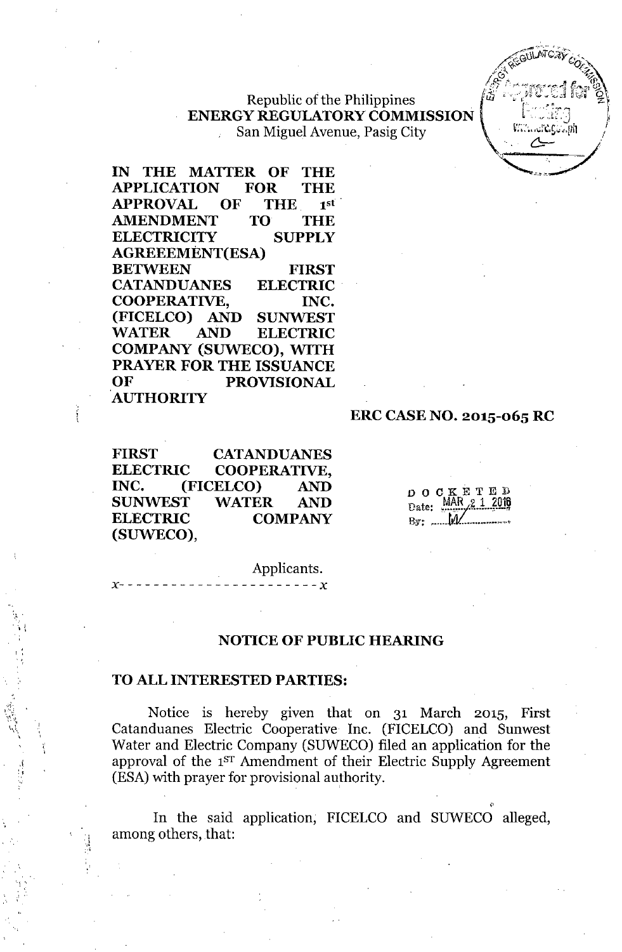## Republic of the Philippines **ENERGY REGULATORY COMMISSION** San Miguel Avenue, Pasig City

IN THE MATTER OF THE APPLICATION FOR THE APPROVAL OF THE 1st' AMENDMENT TO THE ELECTRICITY SUPPLY AGREEEMENT(ESA) BETWEEN FIRST CATANDUANES ELECTRIC' COOPERATIVE, INC. (FICELCO) AND SUNWEST WATER AND ELECTRIC COMPANY (SUWECO), WITH PRAYER FOR THE ISSUANCE OF PROVISIONAL 'AUTHORITY

#### ERC CASENO. 2015-065 RC

FIRST CATANDUANES ELECTRIC COOPERATIVE, INC. (FICELCO) AND SUNWEST WATER AND ELECTRIC COMPANY (SUWECO),

*x- - - - - - - - - - - - - - - - - - - - - - - x*

OOCKETEI) Date: By; ..•...•*w.J/. ..........•.•. "'o*

Applicants.

## NOTICE OF PUBLIC HEARING

#### TOALL INTERESTED PARTIES:

',

 $\mathbf{r}$ •• , ,

> .1 :j

> > ',i :';

Notice is hereby given that on 31 March 2015, First Catanduanes Electric Cooperative Inc. (FICELCO) and Sunwest Water and Electric Company (SUWECO) filed an application for the approval of the 1ST Amendment of their Electric Supply Agreement (ESA) with prayer for provisional authority.

In the said application; FICELCO and SUWECO alleged, among others, that: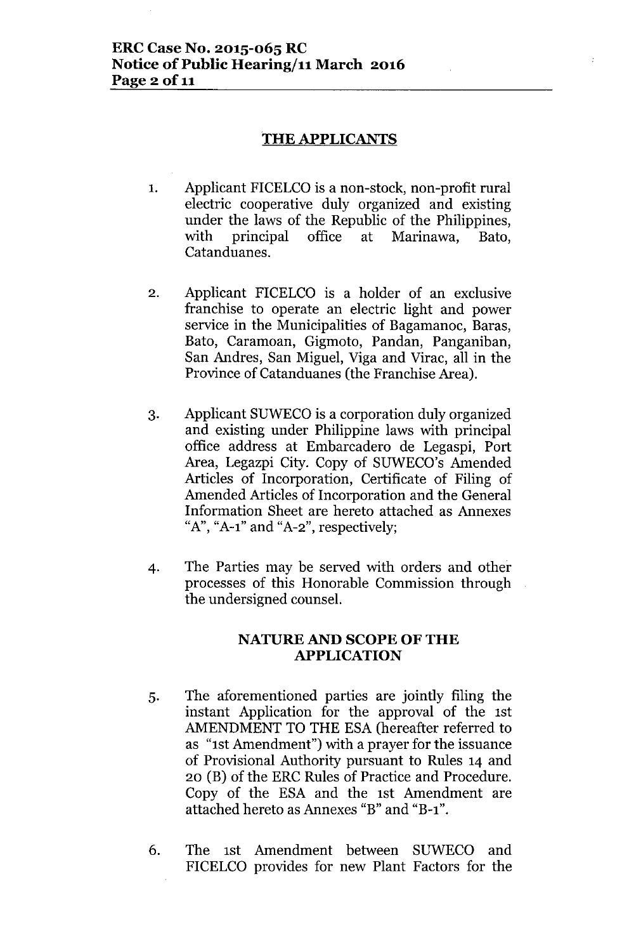### **THE APPLICANTS**

- 1. Applicant FICELCO is a non-stock, non-profit rural electric cooperative duly organized and existing under the laws of the Republic of the Philippines, with principal office at Marinawa, Bato, Catanduanes.
- 2. Applicant FICELCO is a holder of an exclusive franchise to operate an electric light and power service in the Municipalities of Bagamanoc, Baras, Bato, Caramoan, Gigmoto, Pandan, Panganiban, San Andres, San Miguel, Viga and Virac, all in the Province of Catanduanes (the Franchise Area).
- 3. Applicant SUWECO is a corporation duly organized and existing under Philippine laws with principal office address at Embarcadero de Legaspi, Port Area, Legazpi City. Copy of SUWECO's Amended Articles of Incorporation, Certificate of Filing of Amended Articles of Incorporation and the General Information Sheet are hereto attached as Annexes " $A$ ", " $A$ -1" and " $A$ -2", respectively;
- 4. The Parties may be served with orders and other processes of this Honorable Commission through the undersigned counsel.

### NATURE AND SCOPE OF THE **APPLICATION**

- 5. The aforementioned parties are jointly filing the instant Application for the approval of the 1st AMENDMENT TO THE ESA (hereafter referred to as "1st Amendment") with a prayer for the issuance of Provisional Authority pursuant to Rules 14 and 20 (B) of the ERC Rules of Practice and Procedure. Copy of the ESA and the 1st Amendment are attached hereto as Annexes "B" and "B-l".
- 6. The 1st Amendment between SUWECO and FICELCO provides for new Plant Factors for the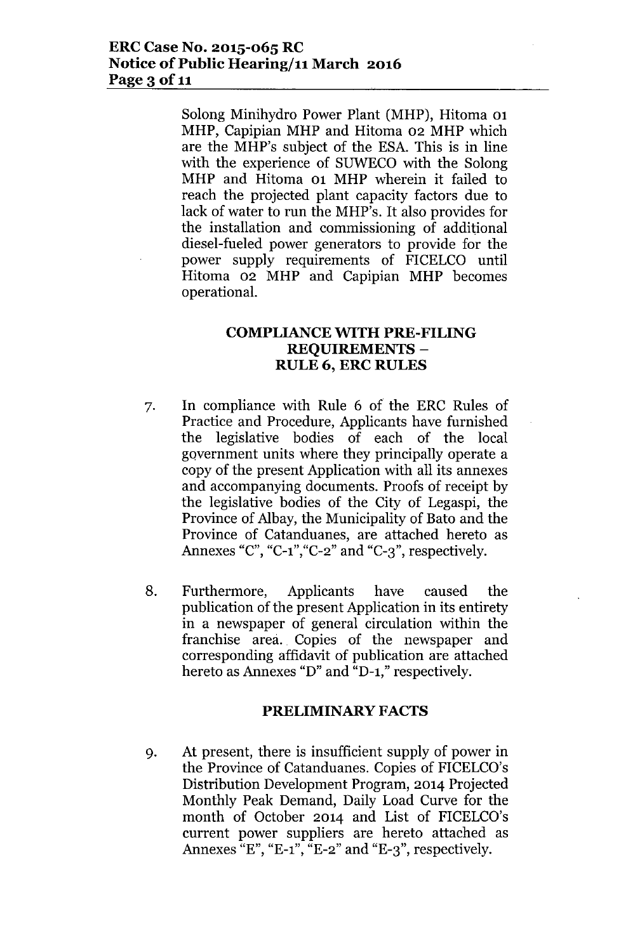Solong Minihydro Power Plant (MHP), Hitoma 01 MHP, Capipian MHP and Hitoma 02 MHP which are the MHP's subject of the ESA. This is in line with the experience of SUWECO with the Solong MHP and Hitoma 01 MHP wherein it failed to reach the projected plant capacity factors due to lack of water to run the MHP's. It also provides for the installation and commissioning of additional diesel-fueled power generators to provide for the power supply requirements of FICELCO until Hitoma 02 MHP and Capipian MHP becomes operational.

# **COMPLIANCE WITH PRE-FILING REQUIREMENTS - RULE 6, ERC RULES**

- 7. In compliance with Rule 6 of the ERC Rules of Practice and Procedure, Applicants have furnished the legislative bodies of each of the local government units where they principally operate a copy of the present Application with all its annexes and accompanying documents. Proofs of receipt by the legislative bodies of the City of Legaspi, the Province of Albay, the Municipality of Bato and the Province of Catanduanes, are attached hereto as Annexes "C", "C-1", "C-2" and "C-3", respectively.
- 8. Furthermore, Applicants have caused the publication of the present Application in its entirety in a newspaper of general circulation within the franchise area.. Copies of the newspaper and corresponding affidavit of publication are attached hereto as Annexes "D" and "D-1," respectively.

### **PRELIMINARY FACTS**

9. At present, there is insufficient supply of power in the Province of Catanduanes. Copies of FICELCO's Distribution Development Program, 2014 Projected Monthly Peak Demand, Daily Load Curve for the month of October 2014 and List of FICELCO's current power suppliers are hereto attached as Annexes  $E''$ , "E-1",  $E^{-2}$ " and "E-3", respectively.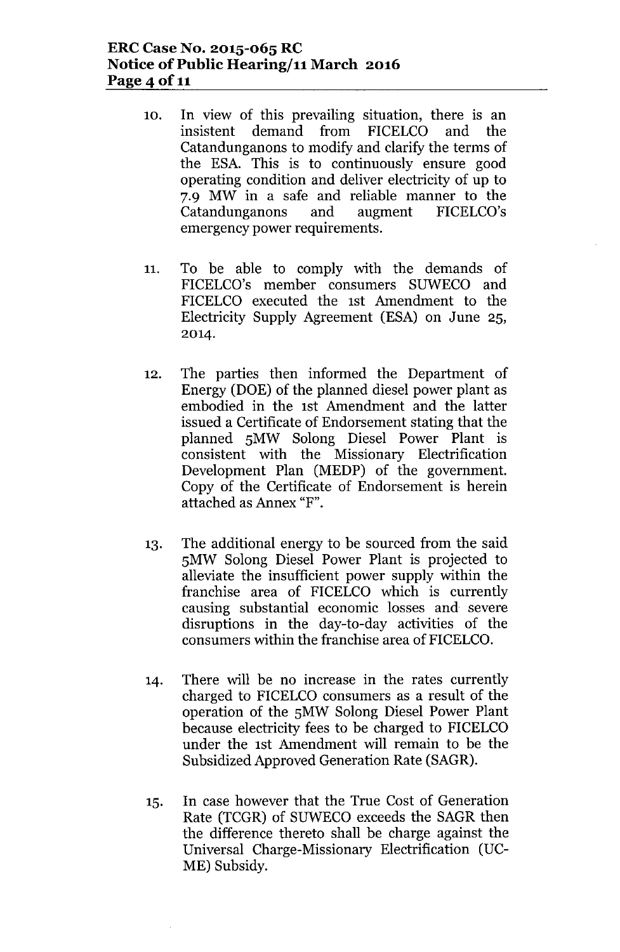## **ERCCase No. 2015-065 RC Notice** of Public **Hearing/11 March 2016** Page 4 of 11

- 10. In view of this prevailing situation, there is an insistent demand from FICELCO and the Catandunganons to modify and clarify the terms of the ESA. This is to continuously ensure good operating condition and deliver electricity of up to 7.9 MW in a safe and reliable manner to the Catandunganons and augment FICELCO's emergency power requirements.
- 11. To be able to comply with the demands of FICELCO's member consumers SUWECO and FICELCO executed the 1st Amendment to the Electricity Supply Agreement (ESA) on June 25, 2014.
- 12. The parties then informed the Department of Energy (DOE) of the planned diesel power plant as embodied in the 1st Amendment and the latter issued a Certificate of Endorsement stating that the planned SMW Solong Diesel Power Plant is consistent with the Missionary Electrification Development Plan (MEDP) of the government. Copy of the Certificate of Endorsement is herein attached as Annex "F".
- 13. The additional energy to be sourced from the said SMW Solong Diesel Power Plant is projected to alleviate the insufficient power supply within the franchise area of FICELCO which is currently causing substantial economic losses and severe disruptions in the day-to-day activities of the consumers within the franchise area of FICELCO.
- 14. There will be no increase in the rates currently charged to FICELCO consumers as a result of the operation of the SMW Solong Diesel Power Plant because electricity fees to be charged to FICELCO under the 1st Amendment will remain to be the Subsidized Approved Generation Rate (SAGR).
- 15. In case however that the True Cost of Generation Rate (TCGR) of SUWECO exceeds the SAGR then the difference thereto shall be charge against the Universal Charge-Missionary Electrification (UC-ME) Subsidy.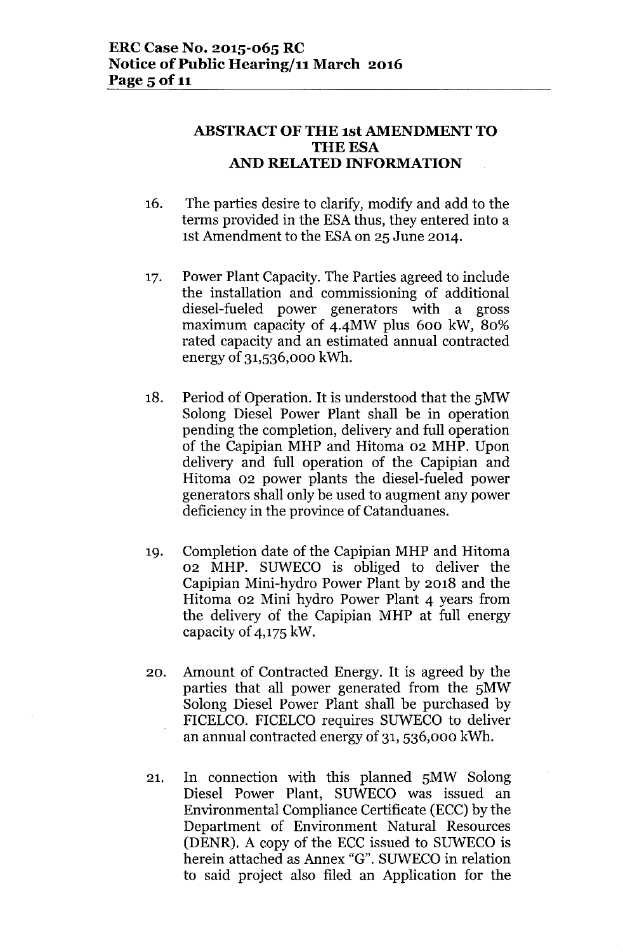# **ABSTRACT OF THE 1st AMENDMENT TO THE ESA AND RELATED INFORMATION**

- 16. The parties desire to clarify, modify and add to the terms provided in the ESA thus, they entered into a 1st Amendment to the ESAon 25 June 2014.
- 17. Power Plant Capacity. The Parties agreed to include the installation and commissioning of additional diesel-fueled power generators with a gross maximum capacity of 4.4MW plus 600 kW, 80% rated capacity and an estimated annual contracted energy of 31,536,000 kWh.
- 18. Period of Operation. It is understood that the 5MW Solong Diesel Power Plant shall be in operation pending the completion, delivery and full operation of the Capipian MHP and Hitoma 02 MHP. Upon delivery and full operation of the Capipian and Hitoma 02 power plants the diesel-fueled power generators shall only be used to augment any power deficiency in the province of Catanduanes.
- 19. Completion date of the Capipian MHP and Hitoma 02 MHP. SUWECO is obliged to deliver the Capipian Mini-hydro Power Plant by 2018 and the Hitoma 02 Mini hydro Power Plant 4 years from the delivery of the Capipian MHP at full energy capacity of 4,175 kW.
- 20. Amount of Contracted Energy. It is agreed by the parties that all power generated from the 5MW Solong Diesel Power Plant shall be purchased by FICELCO. FICELCO requires SUWECO to deliver an annual contracted energy of 31, 536,000 kWh.
- 21. In connection with this planned 5MW Solong Diesel Power Plant, SUWECO was issued an Environmental Compliance Certificate (ECC) by the Department of Environment Natural Resources (DENR). A copy of the ECC issued to SUWECO is herein attached as Annex "G". SUWECO in relation to said project also filed an Application for the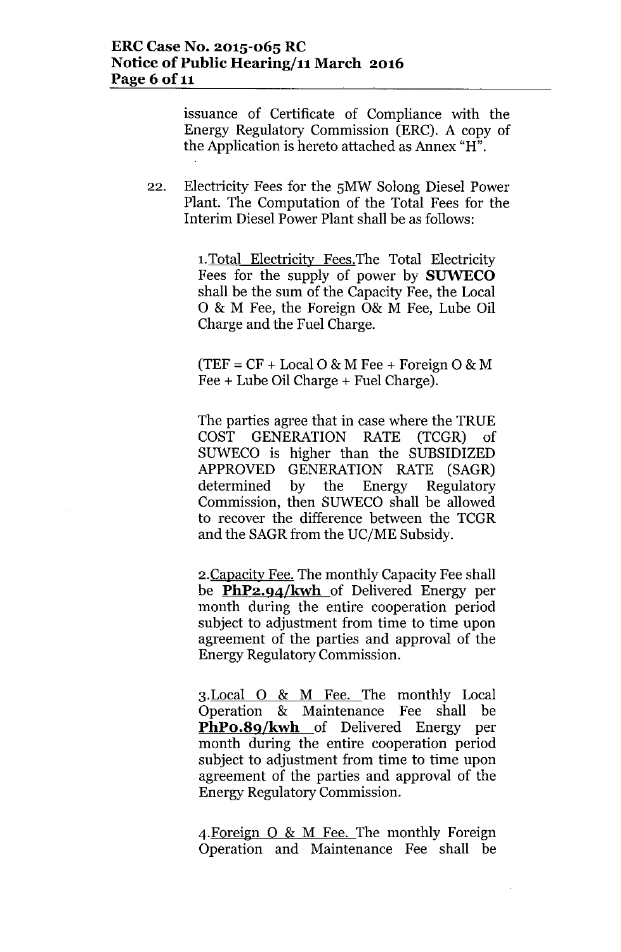issuance of Certificate of Compliance with the Energy Regulatory Commission (ERC). A copy of the Application is hereto attached as Annex "H".

22. Electricity Fees for the SMW Solong Diesel Power Plant. The Computation of the Total Fees for the Interim Diesel Power Plant shall be as follows:

> 1.Total Electricity Fees.The Total Electricity Fees for the supply of power by **SUWECO** shall be the sum of the Capacity Fee, the Local o & M Fee, the Foreign 0& M Fee, Lube Oil Charge and the Fuel Charge.

 $(TEF = CF + Local O & M Free + Foreign O & M)$ Fee + Lube Oil Charge + Fuel Charge).

The parties agree that in case where the TRUE COST GENERATION RATE (TCGR) of SUWECO is higher than the SUBSIDIZED APPROVED GENERATION RATE (SAGR) determined by the Energy Regulatory Commission, then SUWECO shall be allowed to recover the difference between the TCGR and the SAGR from the UC/ME Subsidy.

2.Capacity Fee. The monthly Capacity Fee shall be **PhP2.94/kwh** of Delivered Energy per month during the entire cooperation period subject to adjustment from time to time upon agreement of the parties and approval of the Energy Regulatory Commission.

3. Local O & M Fee. The monthly Local Operation & Maintenance Fee shall be **PhPo.8q/kwh** of Delivered Energy per month during the entire cooperation period subject to adjustment from time to time upon agreement of the parties and approval of the Energy Regulatory Commission.

4.Foreign 0 & M Fee. The monthly Foreign Operation and Maintenance Fee shall be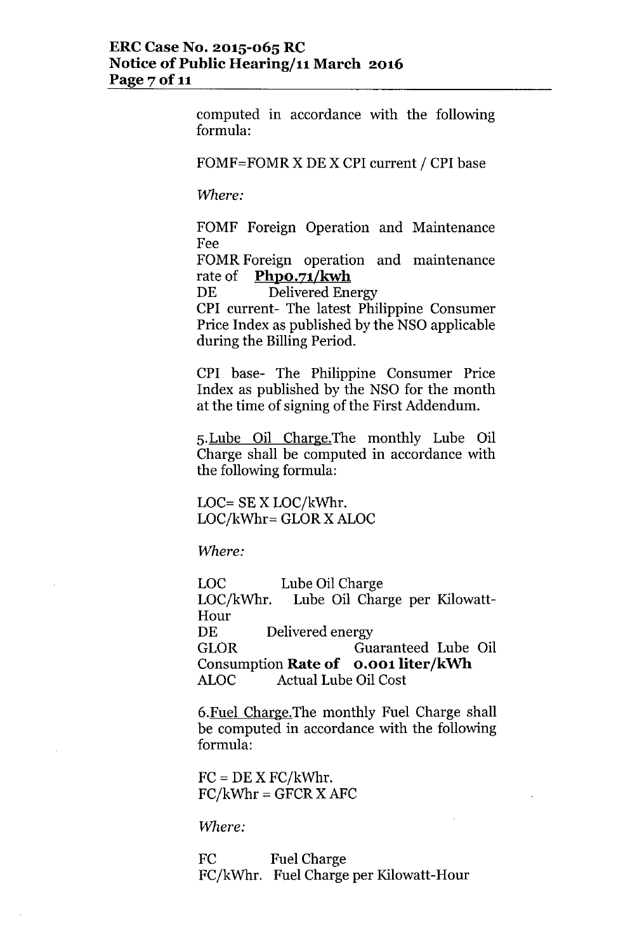computed in accordance with the following formula:

FOMF=FOMR X DE X CPI current / CPI base

*Where:*

FOMF Foreign Operation and Maintenance Fee

FOMR Foreign operation and maintenance rate of **PhpO.71/kwh**

DE Delivered Energy

CPI current- The latest Philippine Consumer Price Index as published by the NSO applicable during the Billing Period.

CPI base- The Philippine Consumer Price Index as published by the NSO for the month at the time of signing of the First Addendum.

5.Lube Oil Charge.The monthly Lube Oil Charge shall be computed in accordance with the following formula:

LOC= SE X LOC/kWhr. LOC/kWhr= GLOR X ALOC

*Where:*

Lube Oil Charge Lube Oil Charge per Kilowatt-LOC LOC/kWhr. Hour DE Delivered energy GLOR Guaranteed Lube Oil Consumption **Rate of o.oolliter/kWh** ALOC Actual Lube Oil Cost

6.Fuel Charge.The monthly Fuel Charge shall be computed in accordance with the following formula:

 $FC = DE X FC/kWhr.$  $FC/kWhr = GFCR X AFC$ 

*Where:*

FC Fuel Charge FC/kWhr. Fuel Charge per Kilowatt-Hour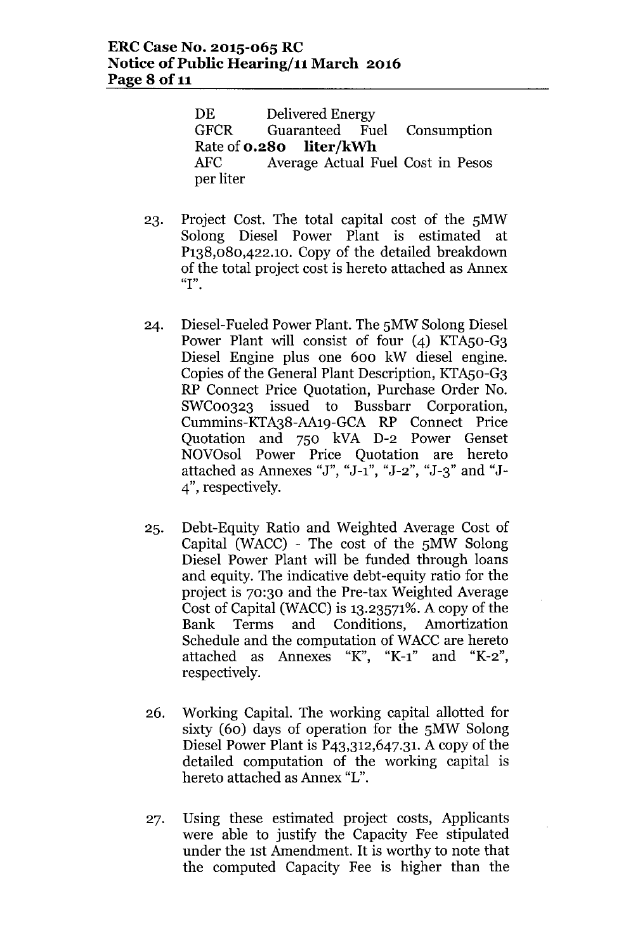DE Delivered Energy GFCR Guaranteed Fuel Consumption Rate of **0.280 liter/kWh** AFC Average Actual Fuel Cost in Pesos per liter

- 23. Project Cost. The total capital cost of the 5MW Solong Diesel Power Plant is estimated at P138,080,422.1O. Copy of the detailed breakdown of the total project cost is hereto attached as Annex **"I".**
- 24. Diesel-Fueled Power Plant. The 5MW Solong Diesel Power Plant will consist of four (4) KTA50-G3 Diesel Engine plus one 600 kW diesel engine. Copies of the General Plant Description, KTAso-G3 RP Connect Price Quotation, Purchase Order No. SWC00323 issued to Bussbarr Corporation, Cummins-KTA38-AA19-GCA RP Connect Price Quotation and 750 kVA D-2 Power Genset NOVOsol Power Price Quotation are hereto attached as Annexes "J", "J-1", "J-2", "J-3" and "J-4", respectively.
- 25. Debt-Equity Ratio and Weighted Average Cost of Capital (WACC) - The cost of the 5MW Solong Diesel Power Plant will be funded through loans and equity. The indicative debt-equity ratio for the project is 70:30 and the Pre-tax Weighted Average Cost of Capital (WACC) is  $13.23571\%$ . A copy of the Bank Terms and Conditions, Amortization Schedule and the computation of WACC are hereto attached as Annexes "K", "K-1" and "K-2", respectively.
- 26. Working Capital. The working capital allotted for sixty (60) days of operation for the 5MW Solong Diesel Power Plant is P43,312,647.31. A copy of the detailed computation of the working capital is hereto attached as Annex "L".
- 27. Using these estimated project costs, Applicants were able to justify the Capacity Fee stipulated under the 1st Amendment. It is worthy to note that the computed Capacity Fee is higher than the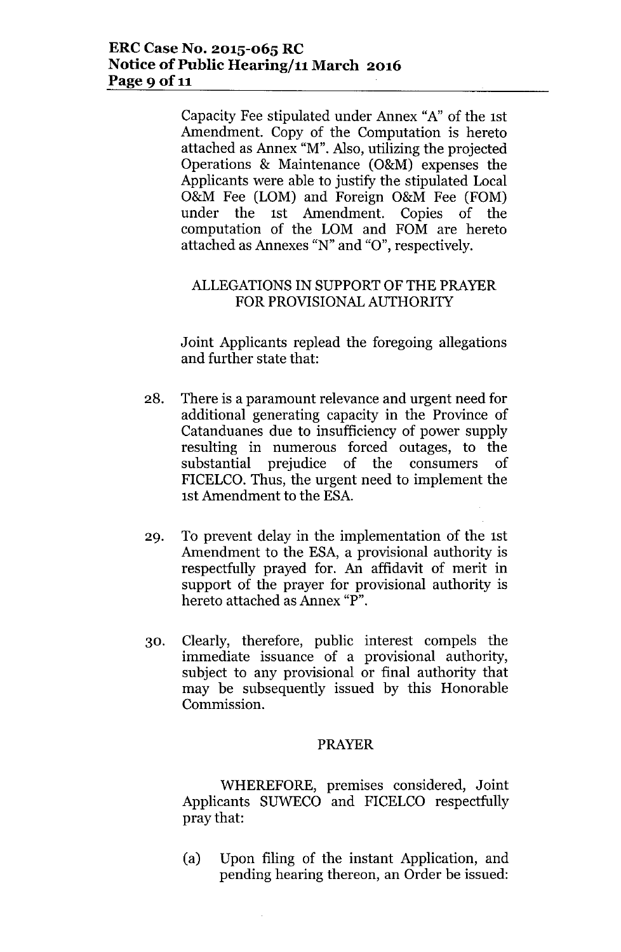Capacity Fee stipulated under Annex "A" of the 1st Amendment. Copy of the Computation is hereto attached as Annex "M". Also, utilizing the projected Operations & Maintenance (O&M) expenses the Applicants were able to justify the stipulated Local O&M Fee (LOM) and Foreign O&M Fee (FOM) under the 1st Amendment. Copies of the computation of the LOM and FOM are hereto attached as Annexes *"N"* and "0", respectively.

# ALLEGATIONSIN SUPPORT OF THE PRAYER FOR PROVISIONALAUTHORITY

Joint Applicants replead the foregoing allegations and further state that:

- 28. There is a paramount relevance and urgent need for additional generating capacity in the Province of Catanduanes due to insufficiency of power supply resulting in numerous forced outages, to the substantial prejudice of the consumers of FICELCO. Thus, the urgent need to implement the 1st Amendment to the ESA.
- 29. To prevent delay in the implementation of the 1st Amendment to the ESA, a provisional authority is respectfully prayed for. An affidavit of merit in support of the prayer for provisional authority is hereto attached as Annex "P".
- 30. Clearly, therefore, public interest compels the immediate issuance of a provisional authority, subject to any provisional or final authority that may be subsequently issued by this Honorable Commission.

### PRAYER

WHEREFORE, premises considered, Joint Applicants SUWECO and FICELCO respectfully pray that:

(a) Upon filing of the instant Application, and pending hearing thereon, an Order be issued: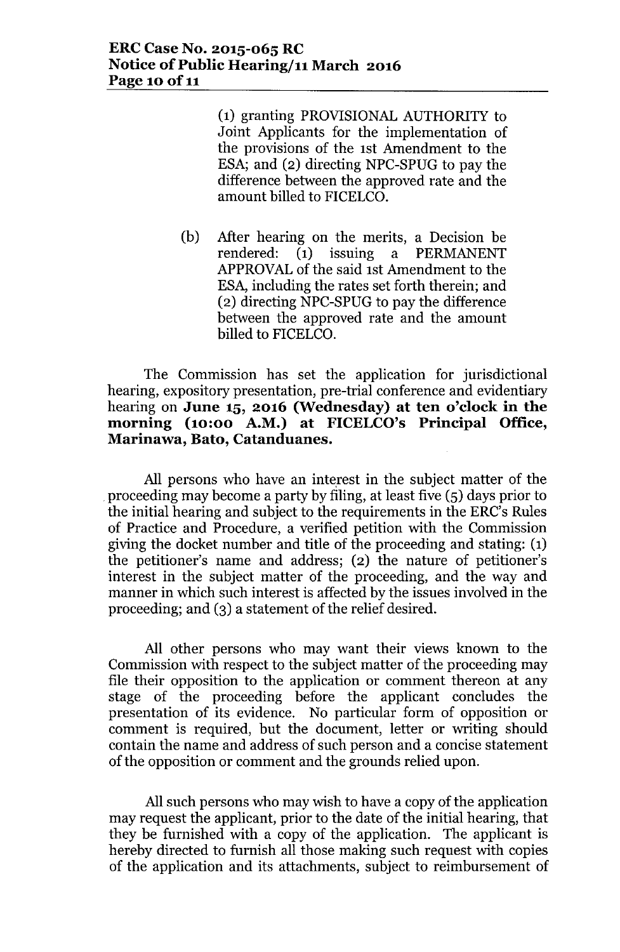(1) granting PROVISIONAL AUTHORITY to Joint Applicants for the implementation of the provisions of the 1st Amendment to the ESA; and (2) directing NPC-SPUG to pay the difference between the approved rate and the amount billed to FICELCO.

(b) After hearing on the merits, a Decision be rendered: (1) issuing a PERMANENT APPROVALof the said 1st Amendment to the ESA, including the rates set forth therein; and (2) directing NPC-SPUG to pay the difference between the approved rate and the amount billed to FICELCO.

The Commission has set the application for jurisdictional hearing, expository presentation, pre-trial conference and evidentiary hearing on **June 15, 2016 (Wednesday) at ten o'clock in the morning (10:00 A.M.) at FICELCO's Principal Office, Marinawa, Bato, Catanduanes.**

All persons who have an interest in the subject matter of the proceeding may become a party by filing, at least five (5) days prior to the initial hearing and subject to the requirements in the ERC's Rules of Practice and Procedure, a verified petition with the Commission giving the docket number and title of the proceeding and stating: (1) the petitioner's name and address; (2) the nature of petitioner's interest in the subject matter of the proceeding, and the way and manner in which such interest is affected by the issues involved in the proceeding; and (3) a statement of the relief desired.

All other persons who may want their views known to the Commission with respect to the subject matter of the proceeding may file their opposition to the application or comment thereon at any stage of the proceeding before the applicant concludes the presentation of its evidence. No particular form of opposition or comment is required, but the document, letter or writing should contain the name and address of such person and a concise statement of the opposition or comment and the grounds relied upon.

All such persons who may wish to have a copy of the application may request the applicant, prior to the date of the initial hearing, that they be furnished with a copy of the application. The applicant is hereby directed to furnish all those making such request with copies of the application and its attachments, subject to reimbursement of